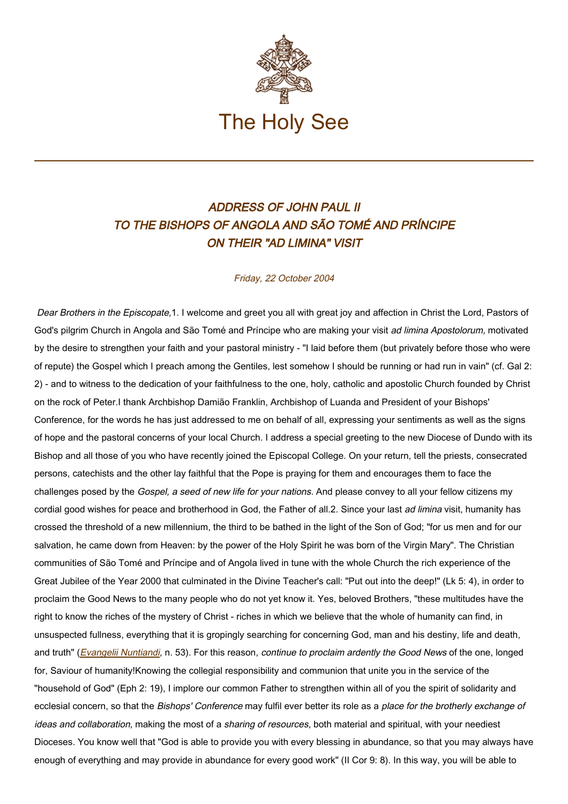

## ADDRESS OF JOHN PAUL II TO THE BISHOPS OF ANGOLA AND SÃO TOMÉ AND PRÍNCIPE ON THEIR "AD LIMINA" VISIT

## Friday, 22 October 2004

Dear Brothers in the Episcopate,1. I welcome and greet you all with great joy and affection in Christ the Lord, Pastors of God's pilgrim Church in Angola and São Tomé and Príncipe who are making your visit ad limina Apostolorum, motivated by the desire to strengthen your faith and your pastoral ministry - "I laid before them (but privately before those who were of repute) the Gospel which I preach among the Gentiles, lest somehow I should be running or had run in vain" (cf. Gal 2: 2) - and to witness to the dedication of your faithfulness to the one, holy, catholic and apostolic Church founded by Christ on the rock of Peter.I thank Archbishop Damião Franklin, Archbishop of Luanda and President of your Bishops' Conference, for the words he has just addressed to me on behalf of all, expressing your sentiments as well as the signs of hope and the pastoral concerns of your local Church. I address a special greeting to the new Diocese of Dundo with its Bishop and all those of you who have recently joined the Episcopal College. On your return, tell the priests, consecrated persons, catechists and the other lay faithful that the Pope is praying for them and encourages them to face the challenges posed by the Gospel, a seed of new life for your nations. And please convey to all your fellow citizens my cordial good wishes for peace and brotherhood in God, the Father of all.2. Since your last ad limina visit, humanity has crossed the threshold of a new millennium, the third to be bathed in the light of the Son of God; "for us men and for our salvation, he came down from Heaven: by the power of the Holy Spirit he was born of the Virgin Mary". The Christian communities of São Tomé and Príncipe and of Angola lived in tune with the whole Church the rich experience of the Great Jubilee of the Year 2000 that culminated in the Divine Teacher's call: "Put out into the deep!" (Lk 5: 4), in order to proclaim the Good News to the many people who do not yet know it. Yes, beloved Brothers, "these multitudes have the right to know the riches of the mystery of Christ - riches in which we believe that the whole of humanity can find, in unsuspected fullness, everything that it is gropingly searching for concerning God, man and his destiny, life and death, and truth" ([Evangelii Nuntiandi](https://www.vatican.va/content/paul-vi/en/apost_exhortations/documents/hf_p-vi_exh_19751208_evangelii-nuntiandi.html), n. 53). For this reason, continue to proclaim ardently the Good News of the one, longed for, Saviour of humanity!Knowing the collegial responsibility and communion that unite you in the service of the "household of God" (Eph 2: 19), I implore our common Father to strengthen within all of you the spirit of solidarity and ecclesial concern, so that the Bishops' Conference may fulfil ever better its role as a place for the brotherly exchange of ideas and collaboration, making the most of a sharing of resources, both material and spiritual, with your neediest Dioceses. You know well that "God is able to provide you with every blessing in abundance, so that you may always have enough of everything and may provide in abundance for every good work" (II Cor 9: 8). In this way, you will be able to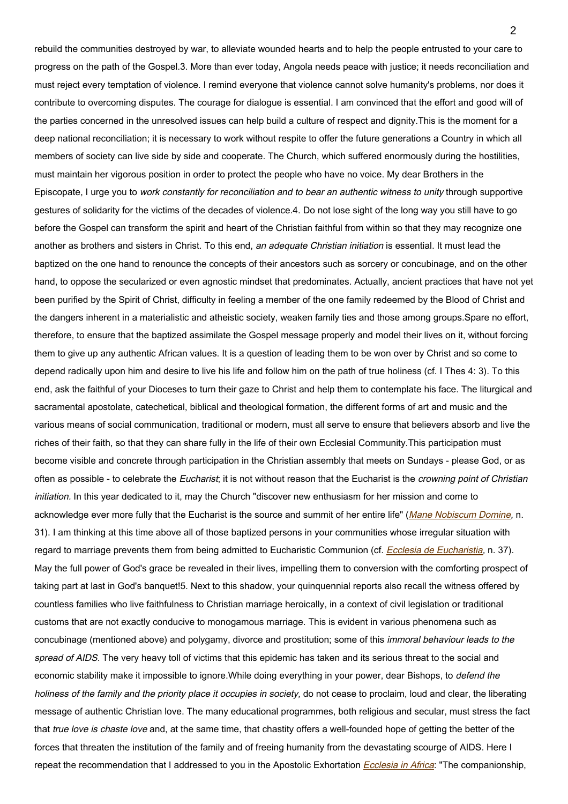rebuild the communities destroyed by war, to alleviate wounded hearts and to help the people entrusted to your care to progress on the path of the Gospel.3. More than ever today, Angola needs peace with justice; it needs reconciliation and must reject every temptation of violence. I remind everyone that violence cannot solve humanity's problems, nor does it contribute to overcoming disputes. The courage for dialogue is essential. I am convinced that the effort and good will of the parties concerned in the unresolved issues can help build a culture of respect and dignity.This is the moment for a deep national reconciliation; it is necessary to work without respite to offer the future generations a Country in which all members of society can live side by side and cooperate. The Church, which suffered enormously during the hostilities, must maintain her vigorous position in order to protect the people who have no voice. My dear Brothers in the Episcopate, I urge you to work constantly for reconciliation and to bear an authentic witness to unity through supportive gestures of solidarity for the victims of the decades of violence.4. Do not lose sight of the long way you still have to go before the Gospel can transform the spirit and heart of the Christian faithful from within so that they may recognize one another as brothers and sisters in Christ. To this end, an adequate Christian initiation is essential. It must lead the baptized on the one hand to renounce the concepts of their ancestors such as sorcery or concubinage, and on the other hand, to oppose the secularized or even agnostic mindset that predominates. Actually, ancient practices that have not yet been purified by the Spirit of Christ, difficulty in feeling a member of the one family redeemed by the Blood of Christ and the dangers inherent in a materialistic and atheistic society, weaken family ties and those among groups.Spare no effort, therefore, to ensure that the baptized assimilate the Gospel message properly and model their lives on it, without forcing them to give up any authentic African values. It is a question of leading them to be won over by Christ and so come to depend radically upon him and desire to live his life and follow him on the path of true holiness (cf. I Thes 4: 3). To this end, ask the faithful of your Dioceses to turn their gaze to Christ and help them to contemplate his face. The liturgical and sacramental apostolate, catechetical, biblical and theological formation, the different forms of art and music and the various means of social communication, traditional or modern, must all serve to ensure that believers absorb and live the riches of their faith, so that they can share fully in the life of their own Ecclesial Community.This participation must become visible and concrete through participation in the Christian assembly that meets on Sundays - please God, or as often as possible - to celebrate the Eucharist; it is not without reason that the Eucharist is the crowning point of Christian initiation. In this year dedicated to it, may the Church "discover new enthusiasm for her mission and come to acknowledge ever more fully that the Eucharist is the source and summit of her entire life" ([Mane Nobiscum Domine](https://www.vatican.va/content/john-paul-ii/en/apost_letters/documents/hf_jp-ii_apl_20041008_mane-nobiscum-domine.html), n. 31). I am thinking at this time above all of those baptized persons in your communities whose irregular situation with regard to marriage prevents them from being admitted to Eucharistic Communion (cf. [Ecclesia de Eucharistia](http://www.vatican.va/edocs/ENG0821/_INDEX.HTM), n. 37). May the full power of God's grace be revealed in their lives, impelling them to conversion with the comforting prospect of taking part at last in God's banquet!5. Next to this shadow, your quinquennial reports also recall the witness offered by countless families who live faithfulness to Christian marriage heroically, in a context of civil legislation or traditional customs that are not exactly conducive to monogamous marriage. This is evident in various phenomena such as concubinage (mentioned above) and polygamy, divorce and prostitution; some of this immoral behaviour leads to the spread of AIDS. The very heavy toll of victims that this epidemic has taken and its serious threat to the social and economic stability make it impossible to ignore. While doing everything in your power, dear Bishops, to *defend the* holiness of the family and the priority place it occupies in society, do not cease to proclaim, loud and clear, the liberating message of authentic Christian love. The many educational programmes, both religious and secular, must stress the fact that true love is chaste love and, at the same time, that chastity offers a well-founded hope of getting the better of the forces that threaten the institution of the family and of freeing humanity from the devastating scourge of AIDS. Here I repeat the recommendation that I addressed to you in the Apostolic Exhortation *[Ecclesia in Africa](https://www.vatican.va/content/john-paul-ii/en/apost_exhortations/documents/hf_jp-ii_exh_14091995_ecclesia-in-africa.html)*: "The companionship,

 $\mathcal{P}$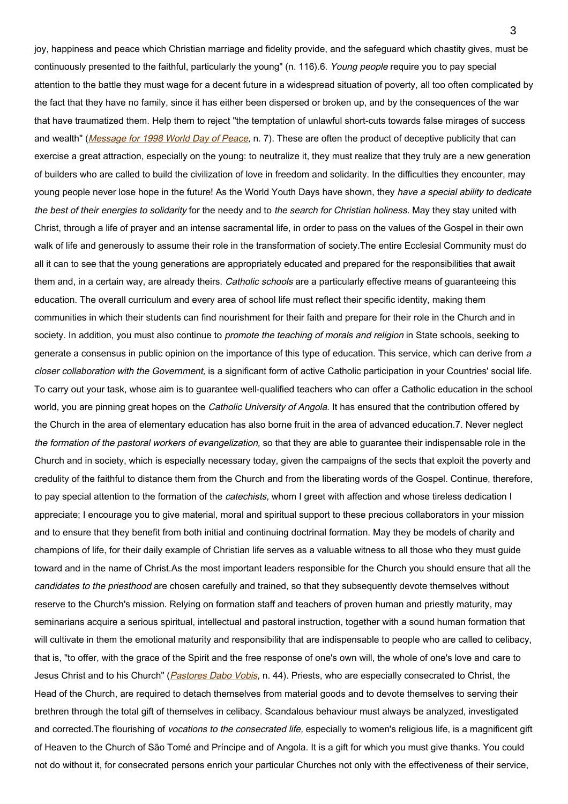joy, happiness and peace which Christian marriage and fidelity provide, and the safeguard which chastity gives, must be continuously presented to the faithful, particularly the young" (n. 116).6. Young people require you to pay special attention to the battle they must wage for a decent future in a widespread situation of poverty, all too often complicated by the fact that they have no family, since it has either been dispersed or broken up, and by the consequences of the war that have traumatized them. Help them to reject "the temptation of unlawful short-cuts towards false mirages of success and wealth" ([Message for 1998 World Day of Peace](https://www.vatican.va/content/john-paul-ii/en/messages/peace/documents/hf_jp-ii_mes_08121997_xxxi-world-day-for-peace.html), n. 7). These are often the product of deceptive publicity that can exercise a great attraction, especially on the young: to neutralize it, they must realize that they truly are a new generation of builders who are called to build the civilization of love in freedom and solidarity. In the difficulties they encounter, may young people never lose hope in the future! As the World Youth Days have shown, they have a special ability to dedicate the best of their energies to solidarity for the needy and to the search for Christian holiness. May they stay united with Christ, through a life of prayer and an intense sacramental life, in order to pass on the values of the Gospel in their own walk of life and generously to assume their role in the transformation of society.The entire Ecclesial Community must do all it can to see that the young generations are appropriately educated and prepared for the responsibilities that await them and, in a certain way, are already theirs. Catholic schools are a particularly effective means of quaranteeing this education. The overall curriculum and every area of school life must reflect their specific identity, making them communities in which their students can find nourishment for their faith and prepare for their role in the Church and in society. In addition, you must also continue to *promote the teaching of morals and religion* in State schools, seeking to generate a consensus in public opinion on the importance of this type of education. This service, which can derive from <sup>a</sup> closer collaboration with the Government, is a significant form of active Catholic participation in your Countries' social life. To carry out your task, whose aim is to guarantee well-qualified teachers who can offer a Catholic education in the school world, you are pinning great hopes on the Catholic University of Angola. It has ensured that the contribution offered by the Church in the area of elementary education has also borne fruit in the area of advanced education.7. Never neglect the formation of the pastoral workers of evangelization, so that they are able to guarantee their indispensable role in the Church and in society, which is especially necessary today, given the campaigns of the sects that exploit the poverty and credulity of the faithful to distance them from the Church and from the liberating words of the Gospel. Continue, therefore, to pay special attention to the formation of the *catechists*, whom I greet with affection and whose tireless dedication I appreciate; I encourage you to give material, moral and spiritual support to these precious collaborators in your mission and to ensure that they benefit from both initial and continuing doctrinal formation. May they be models of charity and champions of life, for their daily example of Christian life serves as a valuable witness to all those who they must guide toward and in the name of Christ.As the most important leaders responsible for the Church you should ensure that all the candidates to the priesthood are chosen carefully and trained, so that they subsequently devote themselves without reserve to the Church's mission. Relying on formation staff and teachers of proven human and priestly maturity, may seminarians acquire a serious spiritual, intellectual and pastoral instruction, together with a sound human formation that will cultivate in them the emotional maturity and responsibility that are indispensable to people who are called to celibacy, that is, "to offer, with the grace of the Spirit and the free response of one's own will, the whole of one's love and care to Jesus Christ and to his Church" ([Pastores Dabo Vobis](https://www.vatican.va/content/john-paul-ii/en/apost_exhortations/documents/hf_jp-ii_exh_25031992_pastores-dabo-vobis.html), n. 44). Priests, who are especially consecrated to Christ, the Head of the Church, are required to detach themselves from material goods and to devote themselves to serving their brethren through the total gift of themselves in celibacy. Scandalous behaviour must always be analyzed, investigated and corrected. The flourishing of vocations to the consecrated life, especially to women's religious life, is a magnificent gift of Heaven to the Church of São Tomé and Príncipe and of Angola. It is a gift for which you must give thanks. You could not do without it, for consecrated persons enrich your particular Churches not only with the effectiveness of their service,

3